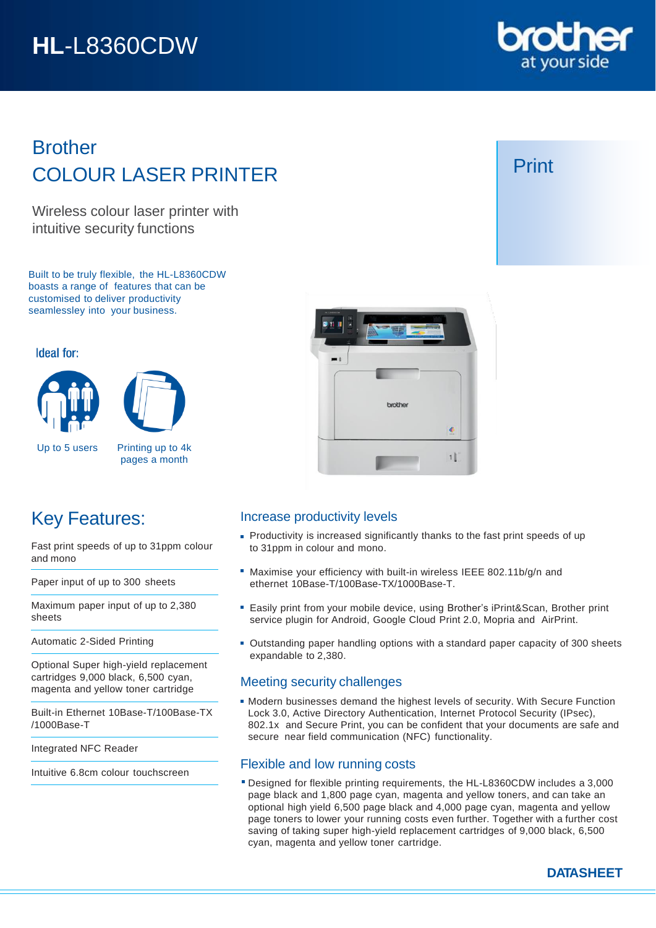# **HL**-L8360CDW



## Brother COLOUR LASER PRINTER

Wireless colour laser printer with intuitive security functions

Built to be truly flexible, the HL-L8360CDW boasts a range of features that can be customised to deliver productivity seamlessley into your business.

#### Ideal for:





Up to 5 users Printing up to 4k pages a month

## Key Features:

Fast print speeds of up to 31ppm colour and mono

Paper input of up to 300 sheets

Maximum paper input of up to 2,380 sheets

Automatic 2-Sided Printing

Optional Super high-yield replacement cartridges 9,000 black, 6,500 cyan, magenta and yellow toner cartridge

Built-in Ethernet 10Base-T/100Base-TX /1000Base-T

Integrated NFC Reader

Intuitive 6.8cm colour touchscreen



### Increase productivity levels

- **Productivity is increased significantly thanks to the fast print speeds of up** to 31ppm in colour and mono.
- Maximise your efficiency with built-in wireless IEEE 802.11b/g/n and ethernet 10Base-T/100Base-TX/1000Base-T.
- Easily print from your mobile device, using Brother's iPrint&Scan, Brother print service plugin for Android, Google Cloud Print 2.0, Mopria and AirPrint.
- Outstanding paper handling options with a standard paper capacity of 300 sheets expandable to 2,380.

### Meeting security challenges

Modern businesses demand the highest levels of security. With Secure Function Lock 3.0, Active Directory Authentication, Internet Protocol Security (IPsec), 802.1x and Secure Print, you can be confident that your documents are safe and secure near field communication (NFC) functionality.

### Flexible and low running costs

Designed for flexible printing requirements, the HL-L8360CDW includes a 3,000 page black and 1,800 page cyan, magenta and yellow toners, and can take an optional high yield 6,500 page black and 4,000 page cyan, magenta and yellow page toners to lower your running costs even further. Together with a further cost saving of taking super high-yield replacement cartridges of 9,000 black, 6,500 cyan, magenta and yellow toner cartridge.

## Print

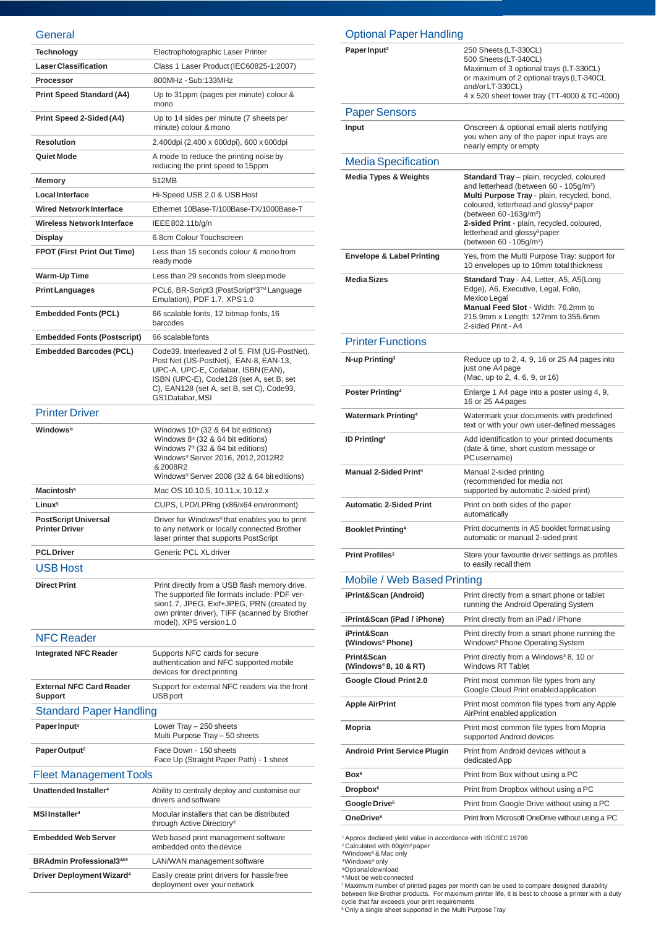#### General

| Technology                                           | Electrophotographic Laser Printer                                                                                                                                                                                                          |  |
|------------------------------------------------------|--------------------------------------------------------------------------------------------------------------------------------------------------------------------------------------------------------------------------------------------|--|
| <b>Laser Classification</b>                          | Class 1 Laser Product (IEC60825-1:2007)                                                                                                                                                                                                    |  |
| Processor                                            | 800MHz - Sub:133MHz                                                                                                                                                                                                                        |  |
| <b>Print Speed Standard (A4)</b>                     | Up to 31ppm (pages per minute) colour &<br>mono                                                                                                                                                                                            |  |
| Print Speed 2-Sided (A4)                             | Up to 14 sides per minute (7 sheets per<br>minute) colour & mono                                                                                                                                                                           |  |
| <b>Resolution</b>                                    | 2,400dpi (2,400 x 600dpi), 600 x 600dpi                                                                                                                                                                                                    |  |
| Quiet Mode                                           | A mode to reduce the printing noise by<br>reducing the print speed to 15ppm                                                                                                                                                                |  |
| Memory                                               | 512MB                                                                                                                                                                                                                                      |  |
| <b>Local Interface</b>                               | Hi-Speed USB 2.0 & USB Host                                                                                                                                                                                                                |  |
| <b>Wired Network Interface</b>                       | Ethernet 10Base-T/100Base-TX/1000Base-T                                                                                                                                                                                                    |  |
| <b>Wireless Network Interface</b>                    | IEEE 802.11b/g/n                                                                                                                                                                                                                           |  |
| <b>Display</b>                                       | 6.8cm Colour Touchscreen                                                                                                                                                                                                                   |  |
| <b>FPOT (First Print Out Time)</b>                   | Less than 15 seconds colour & mono from<br>ready mode                                                                                                                                                                                      |  |
| <b>Warm-Up Time</b>                                  | Less than 29 seconds from sleep mode                                                                                                                                                                                                       |  |
| <b>Print Languages</b>                               | PCL6, BR-Script3 (PostScript <sup>®</sup> 3™ Language<br>Emulation), PDF 1.7, XPS 1.0                                                                                                                                                      |  |
| <b>Embedded Fonts (PCL)</b>                          | 66 scalable fonts, 12 bitmap fonts, 16<br>barcodes                                                                                                                                                                                         |  |
| <b>Embedded Fonts (Postscript)</b>                   | 66 scalable fonts                                                                                                                                                                                                                          |  |
| <b>Embedded Barcodes (PCL)</b>                       | Code39, Interleaved 2 of 5, FIM (US-PostNet),<br>Post Net (US-PostNet), EAN-8, EAN-13,<br>UPC-A, UPC-E, Codabar, ISBN (EAN),<br>ISBN (UPC-E), Code128 (set A, set B, set<br>C), EAN128 (set A, set B, set C), Code93,<br>GS1Databar, MSI   |  |
| <b>Printer Driver</b>                                |                                                                                                                                                                                                                                            |  |
| <b>Windows</b> <sup>®</sup>                          | Windows $10^{\circ}$ (32 & 64 bit editions)<br>Windows $8^{\circ}$ (32 & 64 bit editions)<br>Windows 7 <sup>®</sup> (32 & 64 bit editions)<br>Windows® Server 2016, 2012, 2012R2<br>&2008R2<br>Windows® Server 2008 (32 & 64 bit editions) |  |
| Macintosh <sup>5</sup>                               | Mac OS 10.10.5, 10.11.x, 10.12.x                                                                                                                                                                                                           |  |
| Linux <sup>5</sup>                                   | CUPS, LPD/LPRng (x86/x64 environment)                                                                                                                                                                                                      |  |
| <b>PostScript Universal</b><br><b>Printer Driver</b> | Driver for Windows® that enables you to print<br>to any network or locally connected Brother<br>laser printer that supports PostScript                                                                                                     |  |
| <b>PCL Driver</b>                                    | Generic PCL XL driver                                                                                                                                                                                                                      |  |
| <b>USB Host</b>                                      |                                                                                                                                                                                                                                            |  |
| <b>Direct Print</b>                                  | Print directly from a USB flash memory drive.<br>The supported file formats include: PDF ver-<br>sion1.7, JPEG, Exif+JPEG, PRN (created by<br>own printer driver), TIFF (scanned by Brother<br>model), XPS version 1.0                     |  |
| <b>NFC Reader</b>                                    |                                                                                                                                                                                                                                            |  |
| <b>Integrated NFC Reader</b>                         | Supports NFC cards for secure<br>authentication and NFC supported mobile<br>devices for direct printing                                                                                                                                    |  |
| <b>External NFC Card Reader</b><br><b>Support</b>    | Support for external NFC readers via the front<br><b>USB</b> port                                                                                                                                                                          |  |
| <b>Standard Paper Handling</b>                       |                                                                                                                                                                                                                                            |  |
| Paper Input <sup>2</sup>                             | Lower Tray - 250 sheets<br>Multi Purpose Tray - 50 sheets                                                                                                                                                                                  |  |
| Paper Output <sup>2</sup>                            | Face Down - 150 sheets<br>Face Up (Straight Paper Path) - 1 sheet                                                                                                                                                                          |  |
| <b>Fleet Management Tools</b>                        |                                                                                                                                                                                                                                            |  |
| Unattended Installer <sup>4</sup>                    | Ability to centrally deploy and customise our<br>drivers and software                                                                                                                                                                      |  |
| <b>MSIInstaller<sup>4</sup></b>                      | Modular installers that can be distributed<br>through Active Directory®                                                                                                                                                                    |  |
| <b>Embedded Web Server</b>                           | Web based print management software<br>embedded onto the device                                                                                                                                                                            |  |
| <b>BRAdmin Professional3485</b>                      | LAN/WAN management software                                                                                                                                                                                                                |  |
| Driver Deployment Wizard <sup>4</sup>                | Easily create print drivers for hassle free                                                                                                                                                                                                |  |

deployment over your network

#### Printer Functions **N-up Printing<sup>3</sup>** Reduce up to 2, 4, 9, 16 or 25 A4 pages into just one A4page (Mac, up to 2, 4, 6, 9, or 16) **Poster Printing<sup>4</sup>** Enlarge 1 A4 page into a poster using 4, 9, 16 or 25 A4pages **Watermark Printing<sup>4</sup>** Watermark your documents with predefined text or with your own user-defined messages **ID Printing<sup>4</sup>** Add identification to your printed documents (date & time, short custom message or PCusername) **Manual 2-SidedPrint<sup>4</sup>** Manual 2-sided printing (recommended for media not supported by automatic 2-sided print) **Automatic 2-Sided Print** Print on both sides of the paper automatically **Booklet Printing<sup>4</sup>** Print documents in A5 booklet format using automatic or manual 2-sided print **Print Profiles<sup>3</sup>** Store your favourite driver settings as profiles to easily recall them Optional Paper Handling **Paper Input<sup>2</sup>** 250 Sheets (LT-330CL) 500 Sheets (LT-340CL) Maximum of 3 optional trays (LT-330CL) or maximum of 2 optional trays (LT-340CL and/or LT-330CL) 4 x 520 sheet tower tray (TT-4000 & TC-4000) MediaSpecification **Media Types & Weights Standard Tray** – plain, recycled, coloured and letterhead (between 60 - 105g/m<sup>2</sup> ) **Multi Purpose Tray** - plain, recycled, bond, coloured, letterhead and glossy<sup>8</sup> paper (between 60-163g/m<sup>2</sup> ) **2-sided Print** - plain, recycled, coloured, letterhead and glossy<sup>8</sup>paper (between 60 - 105g/m<sup>2</sup> ) **Envelope & Label Printing** Yes, from the Multi Purpose Tray: support for 10 envelopes up to 10mm total thickness **MediaSizes Standard Tray** - A4, Letter, A5, A5(Long Edge), A6, Executive, Legal, Folio, Mexico Legal **Manual Feed Slot** - Width: 76.2mm to 215.9mm x Length: 127mm to 355.6mm 2-sided Print -A4 Paper Sensors **Input Input C** Onscreen & optional email alerts notifying you when any of the paper input trays are nearly empty or empty Mobile / Web Based Printing **iPrint&Scan (Android)** Print directly from a smart phone or tablet running the Android Operating System **iPrint&Scan (iPad / iPhone)** Print directly from an iPad / iPhone **iPrint&Scan (Windows® Phone)** Print directly from a smart phone running the Windows<sup>®</sup> Phone Operating System **Print&Scan (Windows® 8, 10 & RT)** Print directly from a Windows® 8, 10 or Windows RT Tablet **Google Cloud Print 2.0** Print most common file types from any Google Cloud Print enabledapplication **Apple AirPrint** Print most common file types from any Apple AirPrint enabled application **Mopria** Print most common file types from Mopria supported Android devices **Android Print Service Plugin** Print from Android devices without a dedicatedApp **Box <sup>6</sup>** Print from Box without using a PC **Dropbox <sup>6</sup>** Print from Dropbox without using a PC **Google Drive<sup>6</sup>** Print from Google Drive without using a PC **OneDrive**<sup>6</sup> Print from Microsoft OneDrive without using a PC

<sup>1</sup> Approx declared yield value in accordance with ISO/IEC 19798

<sup>2</sup>Calculated with 80g/m²paper <sup>3</sup>Windows® & Mac only

<sup>4</sup>Windows® only <sup>5</sup>Optional download

<sup>6</sup> Must be web connected

<sup>7</sup>Maximum number of printed pages per month can be used to compare designed durability between like Brother products. For maximum printer life, it is best to choose a printer with a duty cycle that far exceeds your print requirements <sup>8</sup>Only a single sheet supported in the Multi Purpose Tray